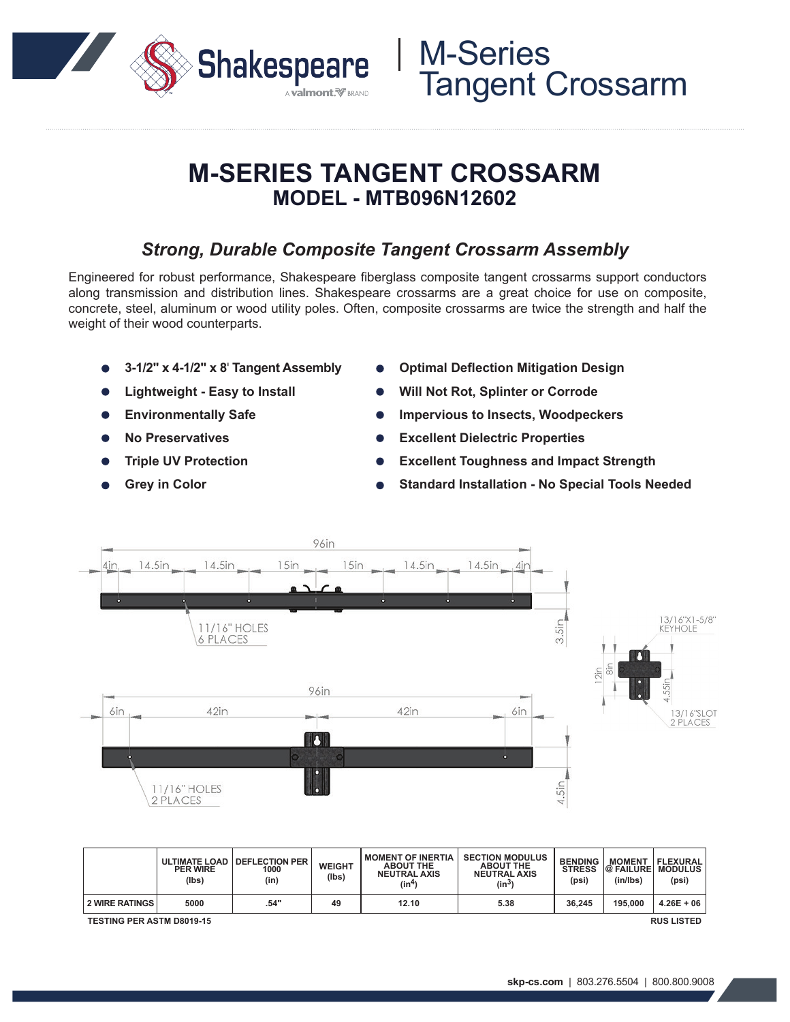

## **M-SERIES TANGENT CROSSARM MODEL - MTB096N12602**

### *Strong, Durable Composite Tangent Crossarm Assembly*

Engineered for robust performance, Shakespeare fiberglass composite tangent crossarms support conductors along transmission and distribution lines. Shakespeare crossarms are a great choice for use on composite, concrete, steel, aluminum or wood utility poles. Often, composite crossarms are twice the strength and half the weight of their wood counterparts.

- **3-1/2" x 4-1/2" x 8**' **Tangent Assembly**
- **Lightweight Easy to Install**
- **Environmentally Safe**
- **No Preservatives**
- **Triple UV Protection**
- **Grey in Color**
- **Optimal Deflection Mitigation Design**
- **Will Not Rot, Splinter or Corrode**

M-Series

Tangent Crossarm

- **Impervious to Insects, Woodpeckers**
- **Excellent Dielectric Properties**
- **Excellent Toughness and Impact Strength**
- **Standard Installation No Special Tools Needed**



|                                                       | <b>PER WIRE</b><br>(lbs) | ULTIMATE LOAD   DEFLECTION PER<br>1000<br>(in) | <b>WEIGHT</b><br>(lbs) | <b>MOMENT OF INERTIA</b><br><b>ABOUT THE</b><br><b>NEUTRAL AXIS</b><br>(in <sup>4</sup> ) | <b>SECTION MODULUS</b><br><b>ABOUT THE</b><br><b>NEUTRAL AXIS</b><br>$(in^3)$ | <b>BENDING</b><br><b>STRESS</b><br>(psi) | <b>MOMENT</b><br>@ FAILURE   MODULUS<br>(in/lbs) | <b>FLEXURAL</b><br>(psi) |
|-------------------------------------------------------|--------------------------|------------------------------------------------|------------------------|-------------------------------------------------------------------------------------------|-------------------------------------------------------------------------------|------------------------------------------|--------------------------------------------------|--------------------------|
| 2 WIRE RATINGS                                        | 5000                     | .54"                                           | 49                     | 12.10                                                                                     | 5.38                                                                          | 36.245                                   | 195,000                                          | $4.26E + 06$             |
| <b>TESTING PER ASTM D8019-15</b><br><b>RUS LISTED</b> |                          |                                                |                        |                                                                                           |                                                                               |                                          |                                                  |                          |